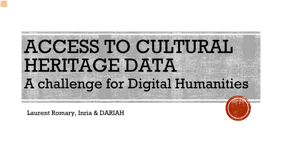

Laurent Romary, Inria & DARIAH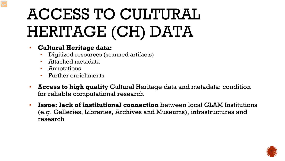# ACCESS TO CULTURAL HERITAGE (CH) DATA

- **Cultural Heritage data:**
	- Digitized resources (scanned artifacts)
	- Attached metadata
	- **Annotations**
	- **•** Further enrichments
- **Access to high quality** Cultural Heritage data and metadata: condition for reliable computational research
- **Issue: lack of institutional connection** between local GLAM Institutions (e.g. Galleries, Libraries, Archives and Museums), infrastructures and research

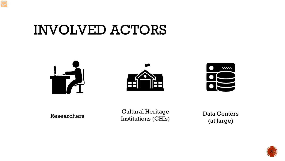#### INVOLVED ACTORS







Researchers Cultural Heritage Institutions (CHIs)

Data Centers (at large)

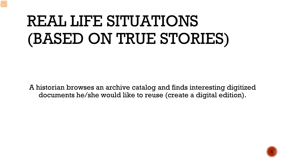## REAL LIFE SITUATIONS (BASED ON TRUE STORIES)

A historian browses an archive catalog and finds interesting digitized documents he/she would like to reuse (create a digital edition).

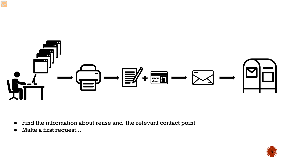

- Find the information about reuse and the relevant contact point
- Make a first request...

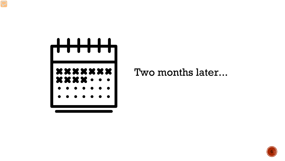

Two months later...

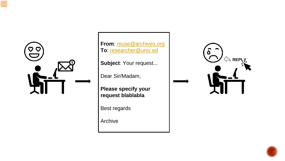

**From:** [reuse@archives.org](mailto:reuse@archives.org) To: [researcher@univ.ed](about:blank)

**Subject**: Your request...

Dear Sir/Madam,

**Please specify your request blablabla**

Best regards

Archive



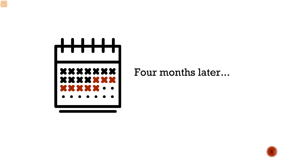

Four months later...

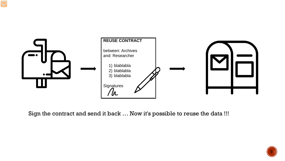

Sign the contract and send it back … Now it's possible to reuse the data !!!

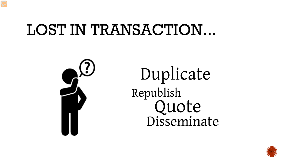### LOST IN TRANSACTION...



Duplicate Republish Quote<br>Disseminate

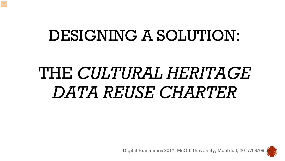### DESIGNING A SOLUTION:

# THE *CULTURAL HERITAGE DATA REUSE CHARTER*

Digital Humanities 2017, McGill University, Montréal, 2017/08/09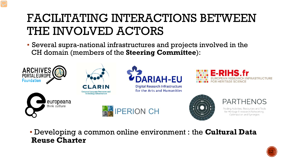#### FACILITATING INTERACTIONS BETWEEN THE INVOLVED ACTORS

▪ Several supra-national infrastructures and projects involved in the CH domain (members of the **Steering Committee**):



▪ Developing a common online environment : the **Cultural Data Reuse Charter**

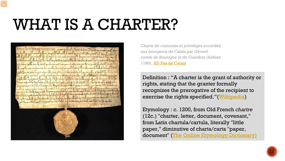## WHAT IS A CHARTER?



*Charte de coutumes et privilèges accordée aux bourgeois de Calais par Gérard, comte de Boulogne et de Gueldres* (before 1180), [AD Pas de Calais](http://www.archivespasdecalais.fr/Activites-culturelles/Un-document-a-l-honneur/Beffroi-et-charte-de-franchises-symboles-de-l-independance-des-cites)

Definition : "A charter is the grant of authority or rights, stating that the granter formally recognizes the prerogative of the recipient to exercise the rights specified." [\(Wikipedia\)](https://en.wikipedia.org/wiki/Charter)

Etymology : c. 1200, from Old French *chartre* (12c.) "charter, letter, document, covenant," from Latin chartula/cartula, literally "little paper," diminutive of charta/carta "paper, document" ([The Online Etymology Dictionary\)](http://www.etymonline.com/index.php?term=charter&allowed_in_frame=0)

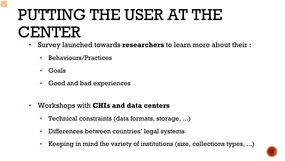## PUTTING THE USER AT THE CENTER

- Survey launched towards **researchers** to learn more about their :
	- Behaviours/Practices
	- Goals
	- Good and bad experiences
- Workshops with **CHIs and data centers**
	- Technical constraints (data formats, storage, ...)
	- Differences between countries' legal systems
	- Keeping in mind the variety of institutions (size, collections types, ...)

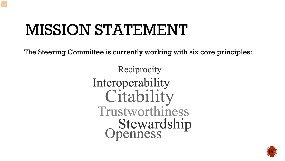## MISSION STATEMENT

The Steering Committee is currently working with six core principles:

Reciprocity Interoperability Citability Trustworthiness **Stewardship**<br>Openness

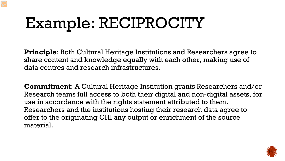# Example: RECIPROCITY

**Principle**: Both Cultural Heritage Institutions and Researchers agree to share content and knowledge equally with each other, making use of data centres and research infrastructures.

**Commitment**: A Cultural Heritage Institution grants Researchers and/or Research teams full access to both their digital and non-digital assets, for use in accordance with the rights statement attributed to them. Researchers and the institutions hosting their research data agree to offer to the originating CHI any output or enrichment of the source material.

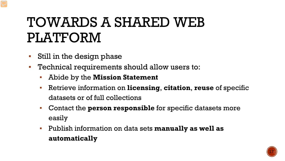### TOWARDS A SHARED WEB PLATFORM

- Still in the design phase
- Technical requirements should allow users to:
	- Abide by the **Mission Statement**
	- Retrieve information on **licensing**, **citation**, **reuse** of specific datasets or of full collections
	- Contact the **person responsible** for specific datasets more easily
	- Publish information on data sets **manually as well as automatically**

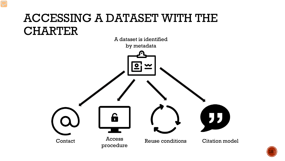#### ACCESSING A DATASET WITH THE **CHARTER**



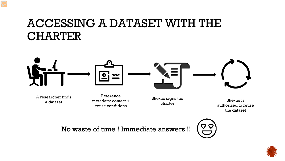#### ACCESSING A DATASET WITH THE CHARTER



A researcher finds a dataset

Reference metadata: contact + reuse conditions

She/he signs the charter

She/he is authorized to reuse the dataset

No waste of time ! Immediate answers !!



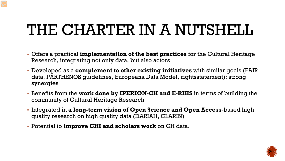## THE CHARTER IN A NUTSHELL

- Offers a practical **implementation of the best practices** for the Cultural Heritage Research, integrating not only data, but also actors
- Developed as a **complement to other existing initiatives** with similar goals (FAIR data, PARTHENOS guidelines, Europeana Data Model, rightsstatement): strong synergies
- Benefits from the **work done by IPERION-CH and E-RIHS** in terms of building the community of Cultural Heritage Research
- Integrated in **a long-term vision of Open Science and Open Access**-based high quality research on high quality data (DARIAH, CLARIN)
- Potential to **improve CHI and scholars work** on CH data.

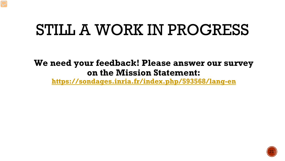### STILL A WORK IN PROGRESS

**We need your feedback! Please answer our survey on the Mission Statement:**

**<https://sondages.inria.fr/index.php/593568/lang-en>**